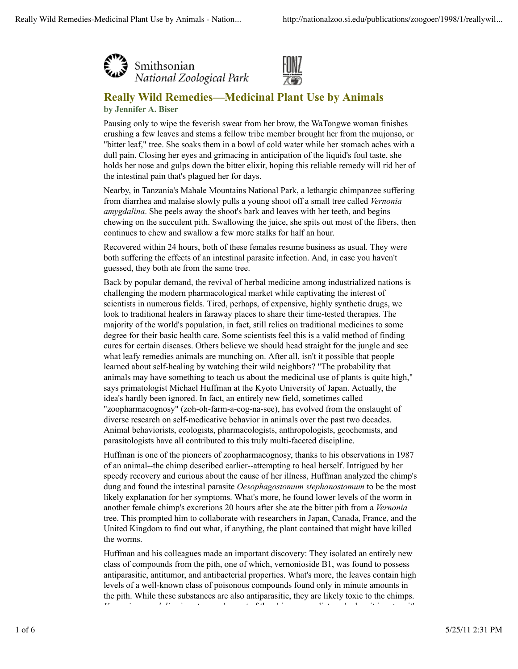



# **Really Wild Remedies—Medicinal Plant Use by Animals by Jennifer A. Biser**

Pausing only to wipe the feverish sweat from her brow, the WaTongwe woman finishes crushing a few leaves and stems a fellow tribe member brought her from the mujonso, or "bitter leaf," tree. She soaks them in a bowl of cold water while her stomach aches with a dull pain. Closing her eyes and grimacing in anticipation of the liquid's foul taste, she holds her nose and gulps down the bitter elixir, hoping this reliable remedy will rid her of the intestinal pain that's plagued her for days.

Nearby, in Tanzania's Mahale Mountains National Park, a lethargic chimpanzee suffering from diarrhea and malaise slowly pulls a young shoot off a small tree called *Vernonia amygdalina*. She peels away the shoot's bark and leaves with her teeth, and begins chewing on the succulent pith. Swallowing the juice, she spits out most of the fibers, then continues to chew and swallow a few more stalks for half an hour.

Recovered within 24 hours, both of these females resume business as usual. They were both suffering the effects of an intestinal parasite infection. And, in case you haven't guessed, they both ate from the same tree.

Back by popular demand, the revival of herbal medicine among industrialized nations is challenging the modern pharmacological market while captivating the interest of scientists in numerous fields. Tired, perhaps, of expensive, highly synthetic drugs, we look to traditional healers in faraway places to share their time-tested therapies. The majority of the world's population, in fact, still relies on traditional medicines to some degree for their basic health care. Some scientists feel this is a valid method of finding cures for certain diseases. Others believe we should head straight for the jungle and see what leafy remedies animals are munching on. After all, isn't it possible that people learned about self-healing by watching their wild neighbors? "The probability that animals may have something to teach us about the medicinal use of plants is quite high," says primatologist Michael Huffman at the Kyoto University of Japan. Actually, the idea's hardly been ignored. In fact, an entirely new field, sometimes called "zoopharmacognosy" (zoh-oh-farm-a-cog-na-see), has evolved from the onslaught of diverse research on self-medicative behavior in animals over the past two decades. Animal behaviorists, ecologists, pharmacologists, anthropologists, geochemists, and parasitologists have all contributed to this truly multi-faceted discipline.

Huffman is one of the pioneers of zoopharmacognosy, thanks to his observations in 1987 of an animal--the chimp described earlier--attempting to heal herself. Intrigued by her speedy recovery and curious about the cause of her illness, Huffman analyzed the chimp's dung and found the intestinal parasite *Oesophagostomum stephanostomum* to be the most likely explanation for her symptoms. What's more, he found lower levels of the worm in another female chimp's excretions 20 hours after she ate the bitter pith from a *Vernonia* tree. This prompted him to collaborate with researchers in Japan, Canada, France, and the United Kingdom to find out what, if anything, the plant contained that might have killed the worms.

Huffman and his colleagues made an important discovery: They isolated an entirely new class of compounds from the pith, one of which, vernonioside B1, was found to possess antiparasitic, antitumor, and antibacterial properties. What's more, the leaves contain high levels of a well-known class of poisonous compounds found only in minute amounts in the pith. While these substances are also antiparasitic, they are likely toxic to the chimps.  $V(\mathcal{D}, \mathcal{D}) = V(\mathcal{D}, \mathcal{D})$  is not a regular part of the chimpanze diet, and when it is easily if is easily if is easily if it is easily if it is easily if it is easily if it is easily if it is easily if it is easily if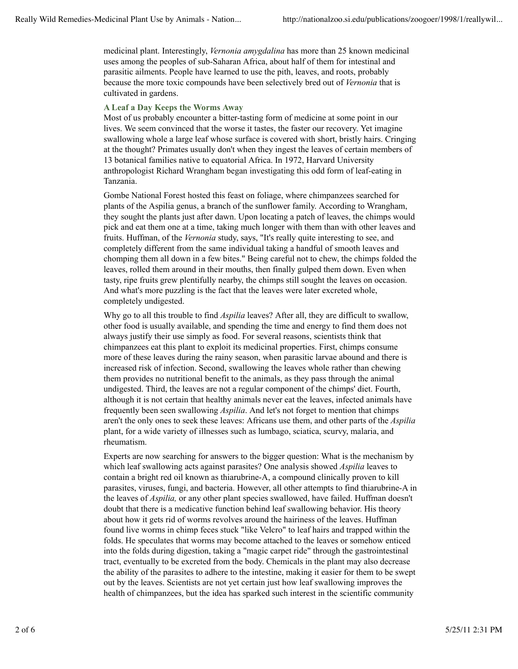medicinal plant. Interestingly, *Vernonia amygdalina* has more than 25 known medicinal uses among the peoples of sub-Saharan Africa, about half of them for intestinal and parasitic ailments. People have learned to use the pith, leaves, and roots, probably because the more toxic compounds have been selectively bred out of *Vernonia* that is cultivated in gardens.

## **A Leaf a Day Keeps the Worms Away**

Most of us probably encounter a bitter-tasting form of medicine at some point in our lives. We seem convinced that the worse it tastes, the faster our recovery. Yet imagine swallowing whole a large leaf whose surface is covered with short, bristly hairs. Cringing at the thought? Primates usually don't when they ingest the leaves of certain members of 13 botanical families native to equatorial Africa. In 1972, Harvard University anthropologist Richard Wrangham began investigating this odd form of leaf-eating in Tanzania.

Gombe National Forest hosted this feast on foliage, where chimpanzees searched for plants of the Aspilia genus, a branch of the sunflower family. According to Wrangham, they sought the plants just after dawn. Upon locating a patch of leaves, the chimps would pick and eat them one at a time, taking much longer with them than with other leaves and fruits. Huffman, of the *Vernonia* study, says, "It's really quite interesting to see, and completely different from the same individual taking a handful of smooth leaves and chomping them all down in a few bites." Being careful not to chew, the chimps folded the leaves, rolled them around in their mouths, then finally gulped them down. Even when tasty, ripe fruits grew plentifully nearby, the chimps still sought the leaves on occasion. And what's more puzzling is the fact that the leaves were later excreted whole, completely undigested.

Why go to all this trouble to find *Aspilia* leaves? After all, they are difficult to swallow, other food is usually available, and spending the time and energy to find them does not always justify their use simply as food. For several reasons, scientists think that chimpanzees eat this plant to exploit its medicinal properties. First, chimps consume more of these leaves during the rainy season, when parasitic larvae abound and there is increased risk of infection. Second, swallowing the leaves whole rather than chewing them provides no nutritional benefit to the animals, as they pass through the animal undigested. Third, the leaves are not a regular component of the chimps' diet. Fourth, although it is not certain that healthy animals never eat the leaves, infected animals have frequently been seen swallowing *Aspilia*. And let's not forget to mention that chimps aren't the only ones to seek these leaves: Africans use them, and other parts of the *Aspilia* plant, for a wide variety of illnesses such as lumbago, sciatica, scurvy, malaria, and rheumatism.

Experts are now searching for answers to the bigger question: What is the mechanism by which leaf swallowing acts against parasites? One analysis showed *Aspilia* leaves to contain a bright red oil known as thiarubrine-A, a compound clinically proven to kill parasites, viruses, fungi, and bacteria. However, all other attempts to find thiarubrine-A in the leaves of *Aspilia,* or any other plant species swallowed, have failed. Huffman doesn't doubt that there is a medicative function behind leaf swallowing behavior. His theory about how it gets rid of worms revolves around the hairiness of the leaves. Huffman found live worms in chimp feces stuck "like Velcro" to leaf hairs and trapped within the folds. He speculates that worms may become attached to the leaves or somehow enticed into the folds during digestion, taking a "magic carpet ride" through the gastrointestinal tract, eventually to be excreted from the body. Chemicals in the plant may also decrease the ability of the parasites to adhere to the intestine, making it easier for them to be swept out by the leaves. Scientists are not yet certain just how leaf swallowing improves the health of chimpanzees, but the idea has sparked such interest in the scientific community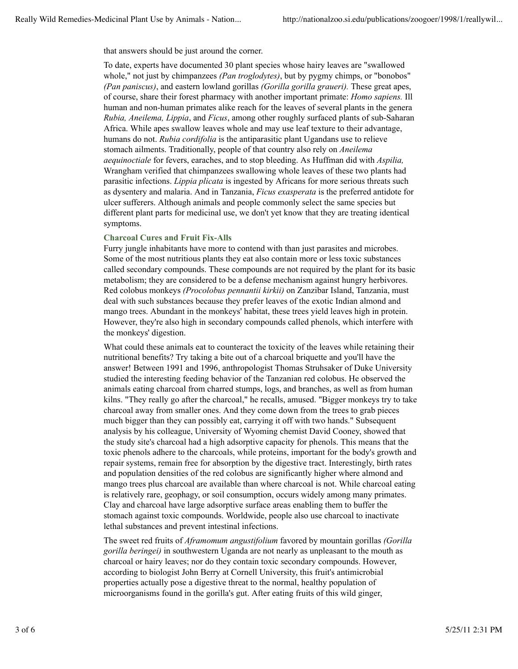that answers should be just around the corner.

To date, experts have documented 30 plant species whose hairy leaves are "swallowed whole," not just by chimpanzees *(Pan troglodytes)*, but by pygmy chimps, or "bonobos" *(Pan paniscus)*, and eastern lowland gorillas *(Gorilla gorilla graueri).* These great apes, of course, share their forest pharmacy with another important primate: *Homo sapiens.* Ill human and non-human primates alike reach for the leaves of several plants in the genera *Rubia, Aneilema, Lippia*, and *Ficus*, among other roughly surfaced plants of sub-Saharan Africa. While apes swallow leaves whole and may use leaf texture to their advantage, humans do not. *Rubia cordifolia* is the antiparasitic plant Ugandans use to relieve stomach ailments. Traditionally, people of that country also rely on *Aneilema aequinoctiale* for fevers, earaches, and to stop bleeding. As Huffman did with *Aspilia,* Wrangham verified that chimpanzees swallowing whole leaves of these two plants had parasitic infections. *Lippia plicata* is ingested by Africans for more serious threats such as dysentery and malaria. And in Tanzania, *Ficus exasperata* is the preferred antidote for ulcer sufferers. Although animals and people commonly select the same species but different plant parts for medicinal use, we don't yet know that they are treating identical symptoms.

## **Charcoal Cures and Fruit Fix-Alls**

Furry jungle inhabitants have more to contend with than just parasites and microbes. Some of the most nutritious plants they eat also contain more or less toxic substances called secondary compounds. These compounds are not required by the plant for its basic metabolism; they are considered to be a defense mechanism against hungry herbivores. Red colobus monkeys *(Procolobus pennantii kirkii)* on Zanzibar Island, Tanzania, must deal with such substances because they prefer leaves of the exotic Indian almond and mango trees. Abundant in the monkeys' habitat, these trees yield leaves high in protein. However, they're also high in secondary compounds called phenols, which interfere with the monkeys' digestion.

What could these animals eat to counteract the toxicity of the leaves while retaining their nutritional benefits? Try taking a bite out of a charcoal briquette and you'll have the answer! Between 1991 and 1996, anthropologist Thomas Struhsaker of Duke University studied the interesting feeding behavior of the Tanzanian red colobus. He observed the animals eating charcoal from charred stumps, logs, and branches, as well as from human kilns. "They really go after the charcoal," he recalls, amused. "Bigger monkeys try to take charcoal away from smaller ones. And they come down from the trees to grab pieces much bigger than they can possibly eat, carrying it off with two hands." Subsequent analysis by his colleague, University of Wyoming chemist David Cooney, showed that the study site's charcoal had a high adsorptive capacity for phenols. This means that the toxic phenols adhere to the charcoals, while proteins, important for the body's growth and repair systems, remain free for absorption by the digestive tract. Interestingly, birth rates and population densities of the red colobus are significantly higher where almond and mango trees plus charcoal are available than where charcoal is not. While charcoal eating is relatively rare, geophagy, or soil consumption, occurs widely among many primates. Clay and charcoal have large adsorptive surface areas enabling them to buffer the stomach against toxic compounds. Worldwide, people also use charcoal to inactivate lethal substances and prevent intestinal infections.

The sweet red fruits of *Aframomum angustifolium* favored by mountain gorillas *(Gorilla gorilla beringei)* in southwestern Uganda are not nearly as unpleasant to the mouth as charcoal or hairy leaves; nor do they contain toxic secondary compounds. However, according to biologist John Berry at Cornell University, this fruit's antimicrobial properties actually pose a digestive threat to the normal, healthy population of microorganisms found in the gorilla's gut. After eating fruits of this wild ginger,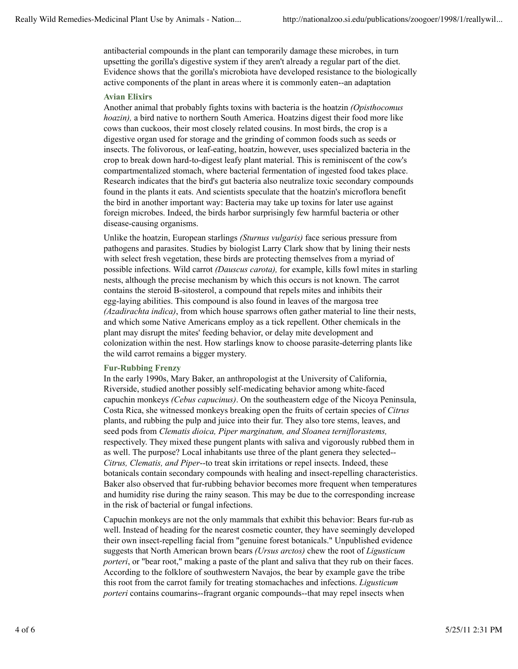antibacterial compounds in the plant can temporarily damage these microbes, in turn upsetting the gorilla's digestive system if they aren't already a regular part of the diet. Evidence shows that the gorilla's microbiota have developed resistance to the biologically active components of the plant in areas where it is commonly eaten--an adaptation

### **Avian Elixirs**

Another animal that probably fights toxins with bacteria is the hoatzin *(Opisthocomus hoazin),* a bird native to northern South America. Hoatzins digest their food more like cows than cuckoos, their most closely related cousins. In most birds, the crop is a digestive organ used for storage and the grinding of common foods such as seeds or insects. The folivorous, or leaf-eating, hoatzin, however, uses specialized bacteria in the crop to break down hard-to-digest leafy plant material. This is reminiscent of the cow's compartmentalized stomach, where bacterial fermentation of ingested food takes place. Research indicates that the bird's gut bacteria also neutralize toxic secondary compounds found in the plants it eats. And scientists speculate that the hoatzin's microflora benefit the bird in another important way: Bacteria may take up toxins for later use against foreign microbes. Indeed, the birds harbor surprisingly few harmful bacteria or other disease-causing organisms.

Unlike the hoatzin, European starlings *(Sturnus vulgaris)* face serious pressure from pathogens and parasites. Studies by biologist Larry Clark show that by lining their nests with select fresh vegetation, these birds are protecting themselves from a myriad of possible infections. Wild carrot *(Dauscus carota),* for example, kills fowl mites in starling nests, although the precise mechanism by which this occurs is not known. The carrot contains the steroid B-sitosterol, a compound that repels mites and inhibits their egg-laying abilities. This compound is also found in leaves of the margosa tree *(Azadirachta indica)*, from which house sparrows often gather material to line their nests, and which some Native Americans employ as a tick repellent. Other chemicals in the plant may disrupt the mites' feeding behavior, or delay mite development and colonization within the nest. How starlings know to choose parasite-deterring plants like the wild carrot remains a bigger mystery.

## **Fur-Rubbing Frenzy**

In the early 1990s, Mary Baker, an anthropologist at the University of California, Riverside, studied another possibly self-medicating behavior among white-faced capuchin monkeys *(Cebus capucinus)*. On the southeastern edge of the Nicoya Peninsula, Costa Rica, she witnessed monkeys breaking open the fruits of certain species of *Citrus* plants, and rubbing the pulp and juice into their fur. They also tore stems, leaves, and seed pods from *Clematis dioica, Piper marginatum, and Sloanea terniflorastems,* respectively. They mixed these pungent plants with saliva and vigorously rubbed them in as well. The purpose? Local inhabitants use three of the plant genera they selected-- *Citrus, Clematis, and Piper*--to treat skin irritations or repel insects. Indeed, these botanicals contain secondary compounds with healing and insect-repelling characteristics. Baker also observed that fur-rubbing behavior becomes more frequent when temperatures and humidity rise during the rainy season. This may be due to the corresponding increase in the risk of bacterial or fungal infections.

Capuchin monkeys are not the only mammals that exhibit this behavior: Bears fur-rub as well. Instead of heading for the nearest cosmetic counter, they have seemingly developed their own insect-repelling facial from "genuine forest botanicals." Unpublished evidence suggests that North American brown bears *(Ursus arctos)* chew the root of *Ligusticum porteri*, or "bear root," making a paste of the plant and saliva that they rub on their faces. According to the folklore of southwestern Navajos, the bear by example gave the tribe this root from the carrot family for treating stomachaches and infections. *Ligusticum porteri* contains coumarins--fragrant organic compounds--that may repel insects when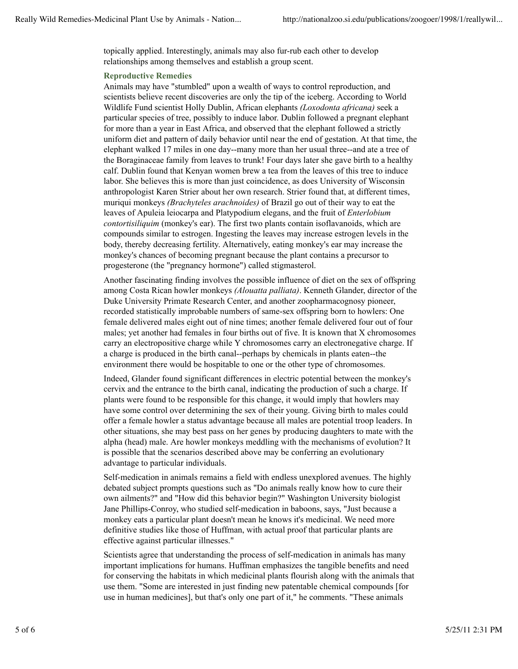topically applied. Interestingly, animals may also fur-rub each other to develop relationships among themselves and establish a group scent.

#### **Reproductive Remedies**

Animals may have "stumbled" upon a wealth of ways to control reproduction, and scientists believe recent discoveries are only the tip of the iceberg. According to World Wildlife Fund scientist Holly Dublin, African elephants *(Loxodonta africana)* seek a particular species of tree, possibly to induce labor. Dublin followed a pregnant elephant for more than a year in East Africa, and observed that the elephant followed a strictly uniform diet and pattern of daily behavior until near the end of gestation. At that time, the elephant walked 17 miles in one day--many more than her usual three--and ate a tree of the Boraginaceae family from leaves to trunk! Four days later she gave birth to a healthy calf. Dublin found that Kenyan women brew a tea from the leaves of this tree to induce labor. She believes this is more than just coincidence, as does University of Wisconsin anthropologist Karen Strier about her own research. Strier found that, at different times, muriqui monkeys *(Brachyteles arachnoides)* of Brazil go out of their way to eat the leaves of Apuleia leiocarpa and Platypodium elegans, and the fruit of *Enterlobium contortisiliquim* (monkey's ear). The first two plants contain isoflavanoids, which are compounds similar to estrogen. Ingesting the leaves may increase estrogen levels in the body, thereby decreasing fertility. Alternatively, eating monkey's ear may increase the monkey's chances of becoming pregnant because the plant contains a precursor to progesterone (the "pregnancy hormone") called stigmasterol.

Another fascinating finding involves the possible influence of diet on the sex of offspring among Costa Rican howler monkeys *(Alouatta palliata)*. Kenneth Glander, director of the Duke University Primate Research Center, and another zoopharmacognosy pioneer, recorded statistically improbable numbers of same-sex offspring born to howlers: One female delivered males eight out of nine times; another female delivered four out of four males; yet another had females in four births out of five. It is known that X chromosomes carry an electropositive charge while Y chromosomes carry an electronegative charge. If a charge is produced in the birth canal--perhaps by chemicals in plants eaten--the environment there would be hospitable to one or the other type of chromosomes.

Indeed, Glander found significant differences in electric potential between the monkey's cervix and the entrance to the birth canal, indicating the production of such a charge. If plants were found to be responsible for this change, it would imply that howlers may have some control over determining the sex of their young. Giving birth to males could offer a female howler a status advantage because all males are potential troop leaders. In other situations, she may best pass on her genes by producing daughters to mate with the alpha (head) male. Are howler monkeys meddling with the mechanisms of evolution? It is possible that the scenarios described above may be conferring an evolutionary advantage to particular individuals.

Self-medication in animals remains a field with endless unexplored avenues. The highly debated subject prompts questions such as "Do animals really know how to cure their own ailments?" and "How did this behavior begin?" Washington University biologist Jane Phillips-Conroy, who studied self-medication in baboons, says, "Just because a monkey eats a particular plant doesn't mean he knows it's medicinal. We need more definitive studies like those of Huffman, with actual proof that particular plants are effective against particular illnesses."

Scientists agree that understanding the process of self-medication in animals has many important implications for humans. Huffman emphasizes the tangible benefits and need for conserving the habitats in which medicinal plants flourish along with the animals that use them. "Some are interested in just finding new patentable chemical compounds [for use in human medicines], but that's only one part of it," he comments. "These animals